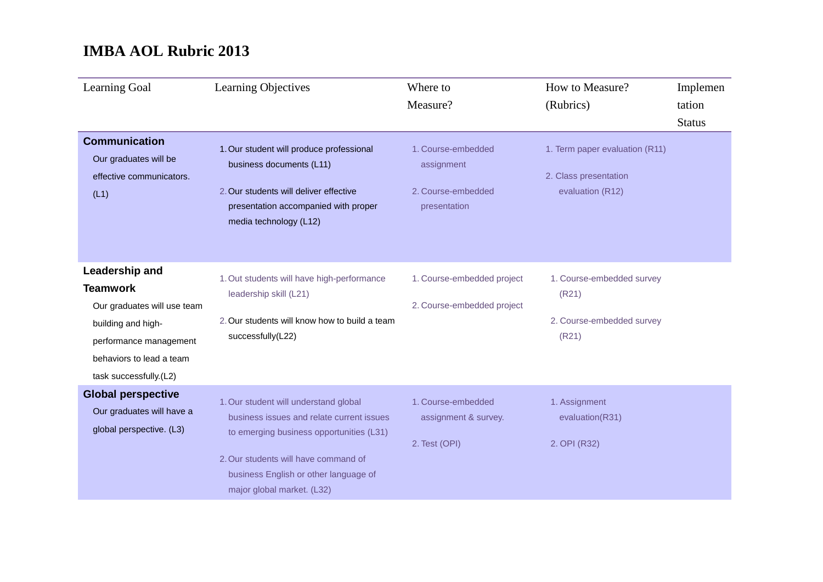| Learning Goal                                                                                                                                                          | Learning Objectives                                                                                                                                                                                                                           | Where to<br>Measure?                                                   | How to Measure?<br>(Rubrics)                                                | Implemen<br>tation<br><b>Status</b> |
|------------------------------------------------------------------------------------------------------------------------------------------------------------------------|-----------------------------------------------------------------------------------------------------------------------------------------------------------------------------------------------------------------------------------------------|------------------------------------------------------------------------|-----------------------------------------------------------------------------|-------------------------------------|
| <b>Communication</b><br>Our graduates will be<br>effective communicators.<br>(L1)                                                                                      | 1. Our student will produce professional<br>business documents (L11)<br>2. Our students will deliver effective<br>presentation accompanied with proper<br>media technology (L12)                                                              | 1. Course-embedded<br>assignment<br>2. Course-embedded<br>presentation | 1. Term paper evaluation (R11)<br>2. Class presentation<br>evaluation (R12) |                                     |
| Leadership and<br><b>Teamwork</b><br>Our graduates will use team<br>building and high-<br>performance management<br>behaviors to lead a team<br>task successfully.(L2) | 1. Out students will have high-performance<br>leadership skill (L21)<br>2. Our students will know how to build a team<br>successfully(L22)                                                                                                    | 1. Course-embedded project<br>2. Course-embedded project               | 1. Course-embedded survey<br>(R21)<br>2. Course-embedded survey<br>(R21)    |                                     |
| <b>Global perspective</b><br>Our graduates will have a<br>global perspective. (L3)                                                                                     | 1. Our student will understand global<br>business issues and relate current issues<br>to emerging business opportunities (L31)<br>2. Our students will have command of<br>business English or other language of<br>major global market. (L32) | 1. Course-embedded<br>assignment & survey.<br>2. Test (OPI)            | 1. Assignment<br>evaluation(R31)<br>2. OPI (R32)                            |                                     |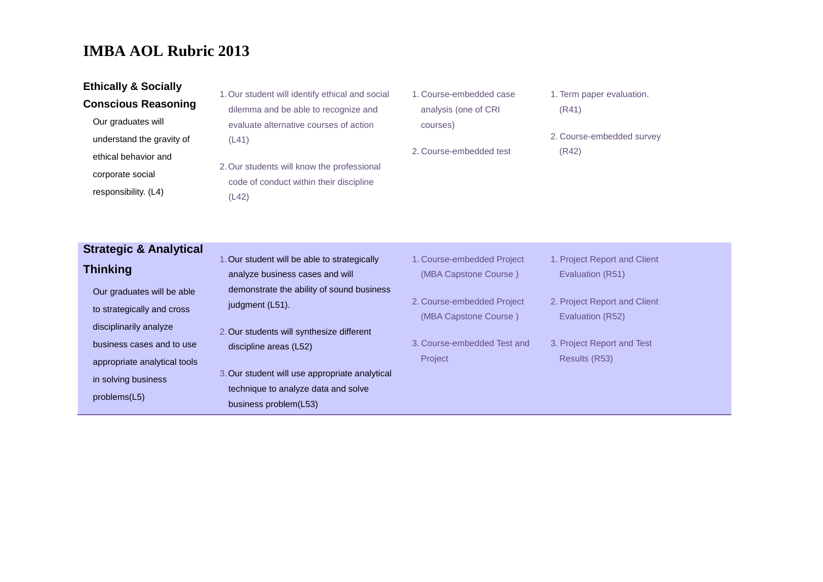| <b>Ethically &amp; Socially</b><br><b>Conscious Reasoning</b><br>Our graduates will<br>understand the gravity of<br>ethical behavior and<br>corporate social<br>responsibility. (L4) | 1. Our student will identify ethical and social<br>dilemma and be able to recognize and<br>evaluate alternative courses of action<br>(L41)<br>2. Our students will know the professional<br>code of conduct within their discipline<br>(L42)                                                                                                                                                                                                                                                       | 1. Course-embedded case<br>analysis (one of CRI<br>courses)<br>2. Course-embedded test | 1. Term paper evaluation.<br>(R41)<br>2. Course-embedded survey<br>(R42) |  |
|--------------------------------------------------------------------------------------------------------------------------------------------------------------------------------------|----------------------------------------------------------------------------------------------------------------------------------------------------------------------------------------------------------------------------------------------------------------------------------------------------------------------------------------------------------------------------------------------------------------------------------------------------------------------------------------------------|----------------------------------------------------------------------------------------|--------------------------------------------------------------------------|--|
| <b>Strategic &amp; Analytical</b>                                                                                                                                                    | 1. Our student will be able to strategically                                                                                                                                                                                                                                                                                                                                                                                                                                                       | 1. Course-embedded Project                                                             | 1. Project Report and Client                                             |  |
| <b>Thinking</b><br>Our graduates will be able<br>to strategically and cross<br>disciplinarily analyze                                                                                | analyze business cases and will<br>demonstrate the ability of sound business<br>judgment (L51).                                                                                                                                                                                                                                                                                                                                                                                                    | (MBA Capstone Course)<br>2. Course-embedded Project<br>(MBA Capstone Course)           | Evaluation (R51)<br>2. Project Report and Client<br>Evaluation (R52)     |  |
| business cases and to use<br>appropriate analytical tools<br>in solving business<br>problems(L5)                                                                                     | 2. Our students will synthesize different<br>discipline areas (L52)<br>3. Our student will use appropriate analytical<br>technique to analyze data and solve<br>$\mathbf{1}$ $\mathbf{1}$ $\mathbf{1}$ $\mathbf{1}$ $\mathbf{1}$ $\mathbf{1}$ $\mathbf{1}$ $\mathbf{1}$ $\mathbf{1}$ $\mathbf{1}$ $\mathbf{1}$ $\mathbf{1}$ $\mathbf{1}$ $\mathbf{1}$ $\mathbf{1}$ $\mathbf{1}$ $\mathbf{1}$ $\mathbf{1}$ $\mathbf{1}$ $\mathbf{1}$ $\mathbf{1}$ $\mathbf{1}$ $\mathbf{1}$ $\mathbf{1}$ $\mathbf{$ | 3. Course-embedded Test and<br>Project                                                 | 3. Project Report and Test<br>Results (R53)                              |  |

business problem(L53)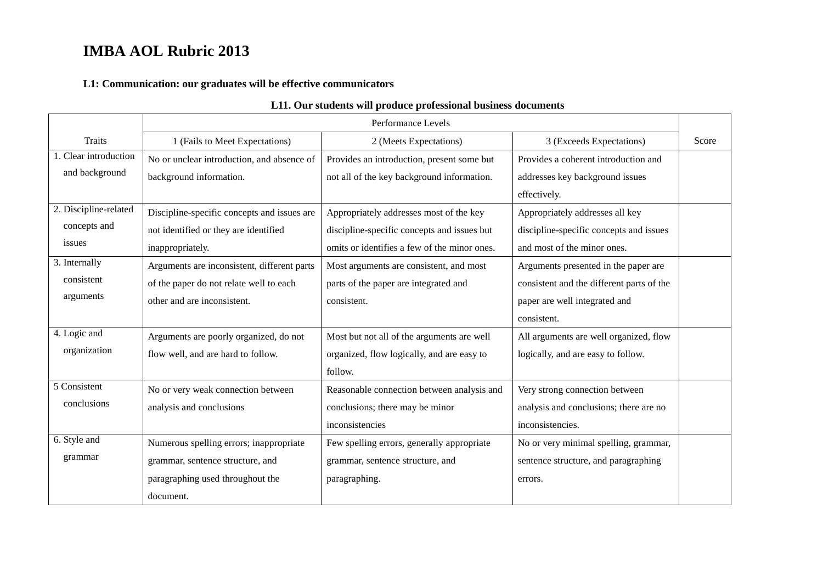### **L1: Communication: our graduates will be effective communicators**

|                                                 | Performance Levels                                                                                                           |                                                                                                                                        |                                                                                                                                   |       |
|-------------------------------------------------|------------------------------------------------------------------------------------------------------------------------------|----------------------------------------------------------------------------------------------------------------------------------------|-----------------------------------------------------------------------------------------------------------------------------------|-------|
| <b>Traits</b>                                   | 1 (Fails to Meet Expectations)                                                                                               | 2 (Meets Expectations)                                                                                                                 | 3 (Exceeds Expectations)                                                                                                          | Score |
| Clear introduction<br>and background            | No or unclear introduction, and absence of<br>background information.                                                        | Provides an introduction, present some but<br>not all of the key background information.                                               | Provides a coherent introduction and<br>addresses key background issues<br>effectively.                                           |       |
| 2. Discipline-related<br>concepts and<br>issues | Discipline-specific concepts and issues are<br>not identified or they are identified<br>inappropriately.                     | Appropriately addresses most of the key<br>discipline-specific concepts and issues but<br>omits or identifies a few of the minor ones. | Appropriately addresses all key<br>discipline-specific concepts and issues<br>and most of the minor ones.                         |       |
| 3. Internally<br>consistent<br>arguments        | Arguments are inconsistent, different parts<br>of the paper do not relate well to each<br>other and are inconsistent.        | Most arguments are consistent, and most<br>parts of the paper are integrated and<br>consistent.                                        | Arguments presented in the paper are<br>consistent and the different parts of the<br>paper are well integrated and<br>consistent. |       |
| 4. Logic and<br>organization                    | Arguments are poorly organized, do not<br>flow well, and are hard to follow.                                                 | Most but not all of the arguments are well<br>organized, flow logically, and are easy to<br>follow.                                    | All arguments are well organized, flow<br>logically, and are easy to follow.                                                      |       |
| 5 Consistent<br>conclusions                     | No or very weak connection between<br>analysis and conclusions                                                               | Reasonable connection between analysis and<br>conclusions; there may be minor<br>inconsistencies                                       | Very strong connection between<br>analysis and conclusions; there are no<br>inconsistencies.                                      |       |
| 6. Style and<br>grammar                         | Numerous spelling errors; inappropriate<br>grammar, sentence structure, and<br>paragraphing used throughout the<br>document. | Few spelling errors, generally appropriate<br>grammar, sentence structure, and<br>paragraphing.                                        | No or very minimal spelling, grammar,<br>sentence structure, and paragraphing<br>errors.                                          |       |

#### **L11. Our students will produce professional business documents**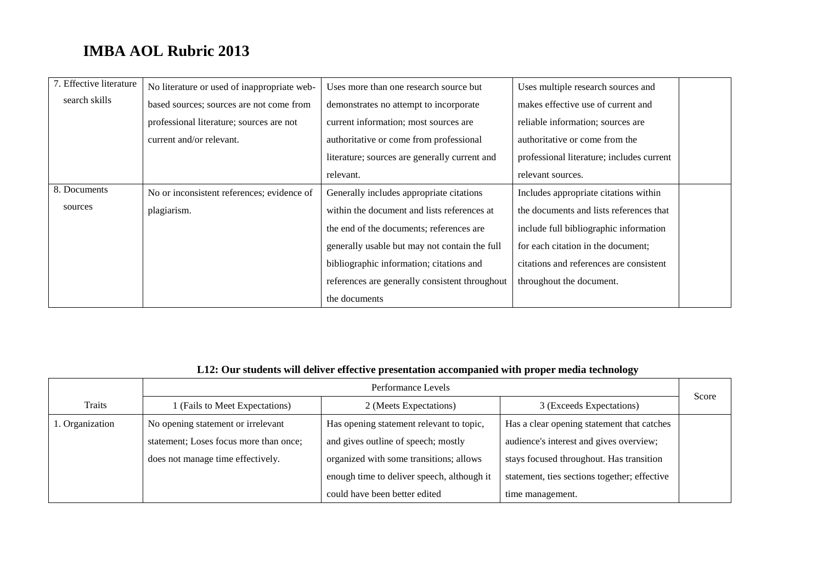| 7. Effective literature | No literature or used of inappropriate web- | Uses more than one research source but         | Uses multiple research sources and        |
|-------------------------|---------------------------------------------|------------------------------------------------|-------------------------------------------|
| search skills           | based sources; sources are not come from    | demonstrates no attempt to incorporate         | makes effective use of current and        |
|                         | professional literature; sources are not    | current information; most sources are          | reliable information; sources are         |
|                         | current and/or relevant.                    | authoritative or come from professional        | authoritative or come from the            |
|                         |                                             | literature; sources are generally current and  | professional literature; includes current |
|                         |                                             | relevant.                                      | relevant sources.                         |
| 8. Documents            | No or inconsistent references; evidence of  | Generally includes appropriate citations       | Includes appropriate citations within     |
| sources                 | plagiarism.                                 | within the document and lists references at    | the documents and lists references that   |
|                         |                                             | the end of the documents; references are       | include full bibliographic information    |
|                         |                                             | generally usable but may not contain the full  | for each citation in the document;        |
|                         |                                             | bibliographic information; citations and       | citations and references are consistent   |
|                         |                                             | references are generally consistent throughout | throughout the document.                  |
|                         |                                             | the documents                                  |                                           |

### **L12: Our students will deliver effective presentation accompanied with proper media technology**

|                 | Performance Levels                     |                                            |                                              |       |
|-----------------|----------------------------------------|--------------------------------------------|----------------------------------------------|-------|
| Traits          | 1 (Fails to Meet Expectations)         | 2 (Meets Expectations)                     | 3 (Exceeds Expectations)                     | Score |
| 1. Organization | No opening statement or irrelevant     | Has opening statement relevant to topic,   | Has a clear opening statement that catches   |       |
|                 | statement; Loses focus more than once; | and gives outline of speech; mostly        | audience's interest and gives overview;      |       |
|                 | does not manage time effectively.      | organized with some transitions; allows    | stays focused throughout. Has transition     |       |
|                 |                                        | enough time to deliver speech, although it | statement, ties sections together; effective |       |
|                 |                                        | could have been better edited              | time management.                             |       |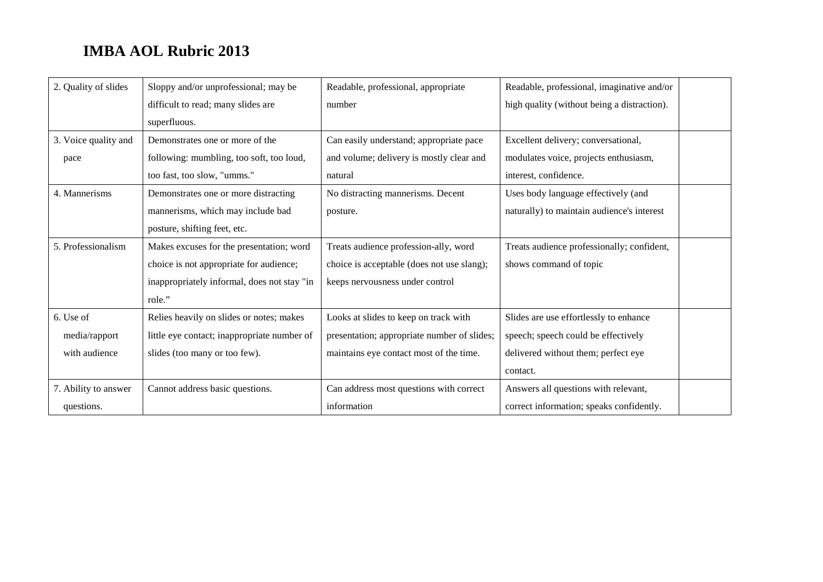| 2. Quality of slides | Sloppy and/or unprofessional; may be        | Readable, professional, appropriate         | Readable, professional, imaginative and/or  |
|----------------------|---------------------------------------------|---------------------------------------------|---------------------------------------------|
|                      | difficult to read; many slides are          | number                                      | high quality (without being a distraction). |
|                      | superfluous.                                |                                             |                                             |
| 3. Voice quality and | Demonstrates one or more of the             | Can easily understand; appropriate pace     | Excellent delivery; conversational,         |
| pace                 | following: mumbling, too soft, too loud,    | and volume; delivery is mostly clear and    | modulates voice, projects enthusiasm,       |
|                      | too fast, too slow, "umms."                 | natural                                     | interest, confidence.                       |
| 4. Mannerisms        | Demonstrates one or more distracting        | No distracting mannerisms. Decent           | Uses body language effectively (and         |
|                      | mannerisms, which may include bad           | posture.                                    | naturally) to maintain audience's interest  |
|                      | posture, shifting feet, etc.                |                                             |                                             |
| 5. Professionalism   | Makes excuses for the presentation; word    | Treats audience profession-ally, word       | Treats audience professionally; confident,  |
|                      | choice is not appropriate for audience;     | choice is acceptable (does not use slang);  | shows command of topic                      |
|                      | inappropriately informal, does not stay "in | keeps nervousness under control             |                                             |
|                      | role."                                      |                                             |                                             |
| 6. Use of            | Relies heavily on slides or notes; makes    | Looks at slides to keep on track with       | Slides are use effortlessly to enhance      |
| media/rapport        | little eye contact; inappropriate number of | presentation; appropriate number of slides; | speech; speech could be effectively         |
| with audience        | slides (too many or too few).               | maintains eye contact most of the time.     | delivered without them; perfect eye         |
|                      |                                             |                                             | contact.                                    |
| 7. Ability to answer | Cannot address basic questions.             | Can address most questions with correct     | Answers all questions with relevant,        |
| questions.           |                                             | information                                 | correct information; speaks confidently.    |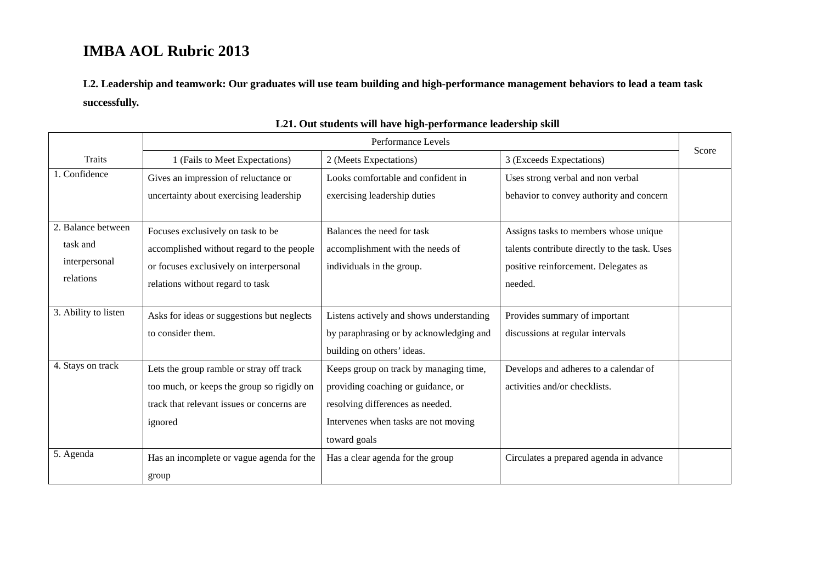**L2. Leadership and teamwork: Our graduates will use team building and high-performance management behaviors to lead a team task successfully.**

|                                                              |                                                                                                                                                               | Performance Levels                                                                                                                                                       |                                                                                                                                           | Score |
|--------------------------------------------------------------|---------------------------------------------------------------------------------------------------------------------------------------------------------------|--------------------------------------------------------------------------------------------------------------------------------------------------------------------------|-------------------------------------------------------------------------------------------------------------------------------------------|-------|
| <b>Traits</b>                                                | 1 (Fails to Meet Expectations)                                                                                                                                | 2 (Meets Expectations)                                                                                                                                                   | 3 (Exceeds Expectations)                                                                                                                  |       |
| 1. Confidence                                                | Gives an impression of reluctance or                                                                                                                          | Looks comfortable and confident in                                                                                                                                       | Uses strong verbal and non verbal                                                                                                         |       |
|                                                              | uncertainty about exercising leadership                                                                                                                       | exercising leadership duties                                                                                                                                             | behavior to convey authority and concern                                                                                                  |       |
| 2. Balance between<br>task and<br>interpersonal<br>relations | Focuses exclusively on task to be<br>accomplished without regard to the people<br>or focuses exclusively on interpersonal<br>relations without regard to task | Balances the need for task<br>accomplishment with the needs of<br>individuals in the group.                                                                              | Assigns tasks to members whose unique<br>talents contribute directly to the task. Uses<br>positive reinforcement. Delegates as<br>needed. |       |
| 3. Ability to listen                                         | Asks for ideas or suggestions but neglects<br>to consider them.                                                                                               | Listens actively and shows understanding<br>by paraphrasing or by acknowledging and<br>building on others' ideas.                                                        | Provides summary of important<br>discussions at regular intervals                                                                         |       |
| 4. Stays on track                                            | Lets the group ramble or stray off track<br>too much, or keeps the group so rigidly on<br>track that relevant issues or concerns are<br>ignored               | Keeps group on track by managing time,<br>providing coaching or guidance, or<br>resolving differences as needed.<br>Intervenes when tasks are not moving<br>toward goals | Develops and adheres to a calendar of<br>activities and/or checklists.                                                                    |       |
| 5. Agenda                                                    | Has an incomplete or vague agenda for the<br>group                                                                                                            | Has a clear agenda for the group                                                                                                                                         | Circulates a prepared agenda in advance                                                                                                   |       |

#### **L21. Out students will have high-performance leadership skill**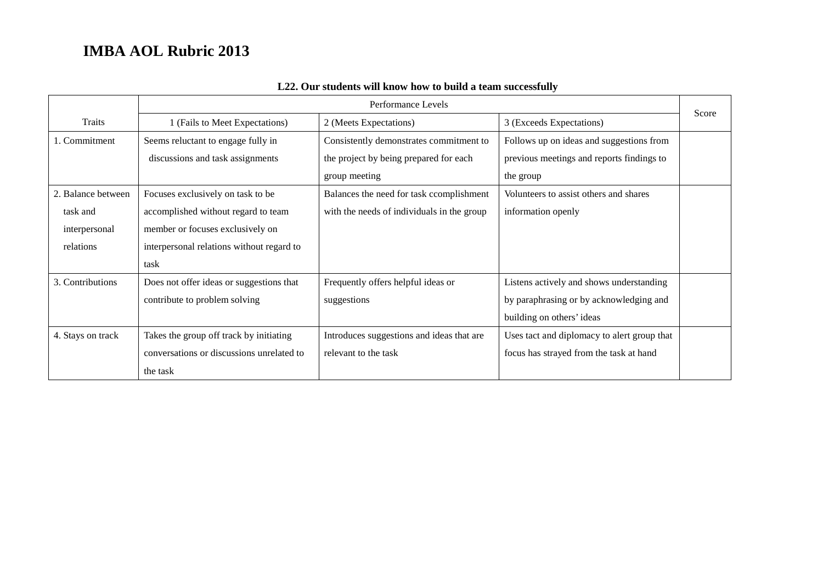|                    | Performance Levels                        |                                            |                                             | Score |
|--------------------|-------------------------------------------|--------------------------------------------|---------------------------------------------|-------|
| Traits             | 1 (Fails to Meet Expectations)            | 2 (Meets Expectations)                     | 3 (Exceeds Expectations)                    |       |
| 1. Commitment      | Seems reluctant to engage fully in        | Consistently demonstrates commitment to    | Follows up on ideas and suggestions from    |       |
|                    | discussions and task assignments          | the project by being prepared for each     | previous meetings and reports findings to   |       |
|                    |                                           | group meeting                              | the group                                   |       |
| 2. Balance between | Focuses exclusively on task to be         | Balances the need for task ccomplishment   | Volunteers to assist others and shares      |       |
| task and           | accomplished without regard to team       | with the needs of individuals in the group | information openly                          |       |
| interpersonal      | member or focuses exclusively on          |                                            |                                             |       |
| relations          | interpersonal relations without regard to |                                            |                                             |       |
|                    | task                                      |                                            |                                             |       |
| 3. Contributions   | Does not offer ideas or suggestions that  | Frequently offers helpful ideas or         | Listens actively and shows understanding    |       |
|                    | contribute to problem solving             | suggestions                                | by paraphrasing or by acknowledging and     |       |
|                    |                                           |                                            | building on others' ideas                   |       |
| 4. Stays on track  | Takes the group off track by initiating   | Introduces suggestions and ideas that are  | Uses tact and diplomacy to alert group that |       |
|                    | conversations or discussions unrelated to | relevant to the task                       | focus has strayed from the task at hand     |       |
|                    | the task                                  |                                            |                                             |       |

### **L22. Our students will know how to build a team successfully**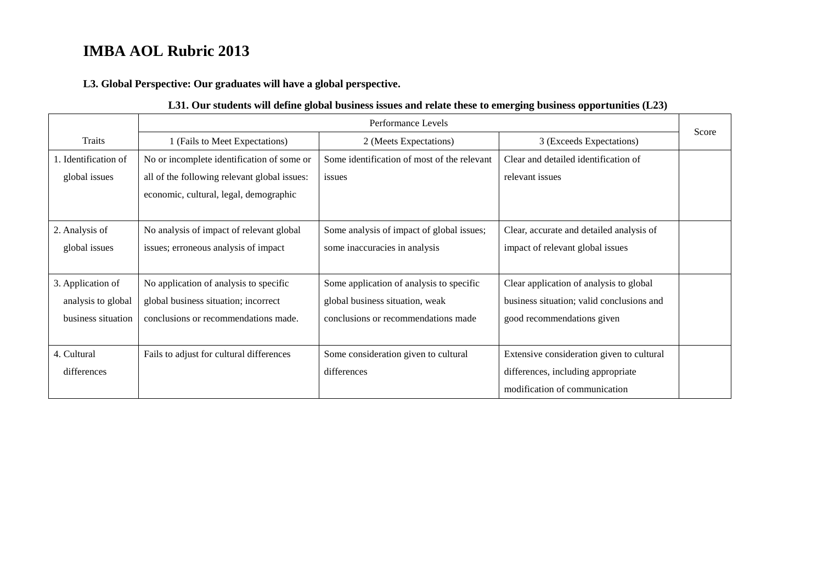### **L3. Global Perspective: Our graduates will have a global perspective.**

|                      |                                              | Performance Levels                          |                                           |       |  |
|----------------------|----------------------------------------------|---------------------------------------------|-------------------------------------------|-------|--|
| <b>Traits</b>        | 1 (Fails to Meet Expectations)               | 2 (Meets Expectations)                      | 3 (Exceeds Expectations)                  | Score |  |
| 1. Identification of | No or incomplete identification of some or   | Some identification of most of the relevant | Clear and detailed identification of      |       |  |
| global issues        | all of the following relevant global issues: | issues                                      | relevant issues                           |       |  |
|                      | economic, cultural, legal, demographic       |                                             |                                           |       |  |
|                      |                                              |                                             |                                           |       |  |
| 2. Analysis of       | No analysis of impact of relevant global     | Some analysis of impact of global issues;   | Clear, accurate and detailed analysis of  |       |  |
| global issues        | issues; erroneous analysis of impact         | some inaccuracies in analysis               | impact of relevant global issues          |       |  |
|                      |                                              |                                             |                                           |       |  |
| 3. Application of    | No application of analysis to specific       | Some application of analysis to specific    | Clear application of analysis to global   |       |  |
| analysis to global   | global business situation; incorrect         | global business situation, weak             | business situation; valid conclusions and |       |  |
| business situation   | conclusions or recommendations made.         | conclusions or recommendations made         | good recommendations given                |       |  |
|                      |                                              |                                             |                                           |       |  |
| 4. Cultural          | Fails to adjust for cultural differences     | Some consideration given to cultural        | Extensive consideration given to cultural |       |  |
| differences          |                                              | differences                                 | differences, including appropriate        |       |  |
|                      |                                              |                                             | modification of communication             |       |  |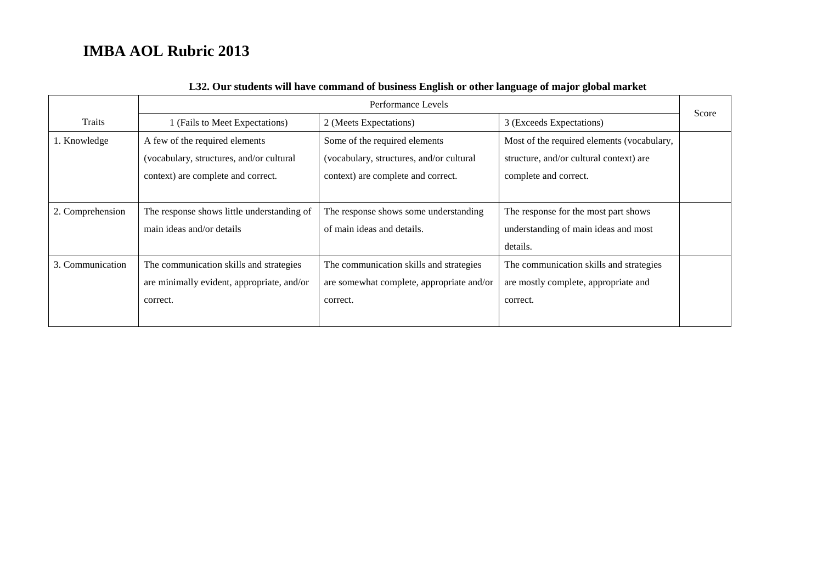|                  | Performance Levels                                                                                               |                                                                                                                 |                                                                                                                |       |
|------------------|------------------------------------------------------------------------------------------------------------------|-----------------------------------------------------------------------------------------------------------------|----------------------------------------------------------------------------------------------------------------|-------|
| Traits           | 1 (Fails to Meet Expectations)                                                                                   | 2 (Meets Expectations)                                                                                          | 3 (Exceeds Expectations)                                                                                       | Score |
| 1. Knowledge     | A few of the required elements<br>(vocabulary, structures, and/or cultural<br>context) are complete and correct. | Some of the required elements<br>(vocabulary, structures, and/or cultural<br>context) are complete and correct. | Most of the required elements (vocabulary,<br>structure, and/or cultural context) are<br>complete and correct. |       |
| 2. Comprehension | The response shows little understanding of<br>main ideas and/or details                                          | The response shows some understanding<br>of main ideas and details.                                             | The response for the most part shows<br>understanding of main ideas and most<br>details.                       |       |
| 3. Communication | The communication skills and strategies<br>are minimally evident, appropriate, and/or<br>correct.                | The communication skills and strategies<br>are somewhat complete, appropriate and/or<br>correct.                | The communication skills and strategies<br>are mostly complete, appropriate and<br>correct.                    |       |

### **L32. Our students will have command of business English or other language of major global market**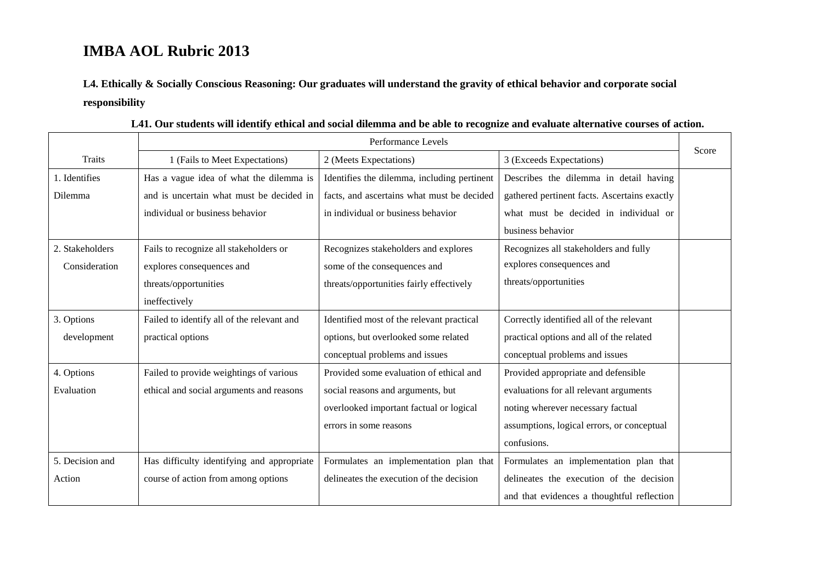**L4. Ethically & Socially Conscious Reasoning: Our graduates will understand the gravity of ethical behavior and corporate social responsibility**

|                 | L41. Our students will identify ethical and social dilemma and be able to recognize and evaluate alternative courses of action. |                                             |                                              |       |
|-----------------|---------------------------------------------------------------------------------------------------------------------------------|---------------------------------------------|----------------------------------------------|-------|
|                 |                                                                                                                                 | Performance Levels                          |                                              | Score |
| Traits          | 1 (Fails to Meet Expectations)                                                                                                  | 2 (Meets Expectations)                      | 3 (Exceeds Expectations)                     |       |
| 1. Identifies   | Has a vague idea of what the dilemma is                                                                                         | Identifies the dilemma, including pertinent | Describes the dilemma in detail having       |       |
| Dilemma         | and is uncertain what must be decided in                                                                                        | facts, and ascertains what must be decided  | gathered pertinent facts. Ascertains exactly |       |
|                 | individual or business behavior                                                                                                 | in individual or business behavior          | what must be decided in individual or        |       |
|                 |                                                                                                                                 |                                             | business behavior                            |       |
| 2. Stakeholders | Fails to recognize all stakeholders or                                                                                          | Recognizes stakeholders and explores        | Recognizes all stakeholders and fully        |       |
| Consideration   | explores consequences and                                                                                                       | some of the consequences and                | explores consequences and                    |       |
|                 | threats/opportunities                                                                                                           | threats/opportunities fairly effectively    | threats/opportunities                        |       |
|                 | ineffectively                                                                                                                   |                                             |                                              |       |
| 3. Options      | Failed to identify all of the relevant and                                                                                      | Identified most of the relevant practical   | Correctly identified all of the relevant     |       |
| development     | practical options                                                                                                               | options, but overlooked some related        | practical options and all of the related     |       |
|                 |                                                                                                                                 | conceptual problems and issues              | conceptual problems and issues               |       |
| 4. Options      | Failed to provide weightings of various                                                                                         | Provided some evaluation of ethical and     | Provided appropriate and defensible          |       |
| Evaluation      | ethical and social arguments and reasons                                                                                        | social reasons and arguments, but           | evaluations for all relevant arguments       |       |
|                 |                                                                                                                                 | overlooked important factual or logical     | noting wherever necessary factual            |       |
|                 |                                                                                                                                 | errors in some reasons                      | assumptions, logical errors, or conceptual   |       |
|                 |                                                                                                                                 |                                             | confusions.                                  |       |
| 5. Decision and | Has difficulty identifying and appropriate                                                                                      | Formulates an implementation plan that      | Formulates an implementation plan that       |       |
| Action          | course of action from among options                                                                                             | delineates the execution of the decision    | delineates the execution of the decision     |       |
|                 |                                                                                                                                 |                                             | and that evidences a thoughtful reflection   |       |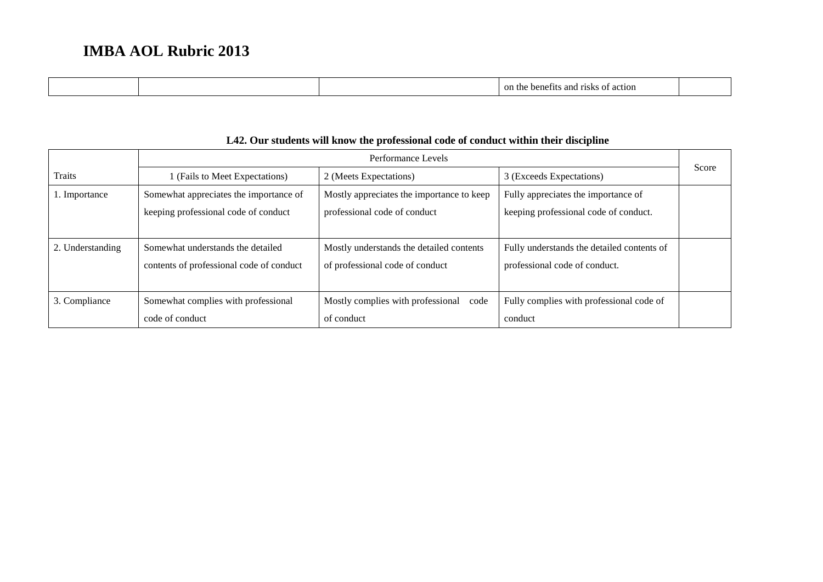| etion:<br>on th<br>-ric.<br>АТ1 ГС<br>nen<br>$-1122$ |
|------------------------------------------------------|
|------------------------------------------------------|

|                  | Performance Levels                       |                                           |                                            |       |
|------------------|------------------------------------------|-------------------------------------------|--------------------------------------------|-------|
| Traits           | (Fails to Meet Expectations)             | 2 (Meets Expectations)                    | 3 (Exceeds Expectations)                   | Score |
| 1. Importance    | Somewhat appreciates the importance of   | Mostly appreciates the importance to keep | Fully appreciates the importance of        |       |
|                  | keeping professional code of conduct     | professional code of conduct              | keeping professional code of conduct.      |       |
|                  |                                          |                                           |                                            |       |
| 2. Understanding | Somewhat understands the detailed        | Mostly understands the detailed contents  | Fully understands the detailed contents of |       |
|                  | contents of professional code of conduct | of professional code of conduct           | professional code of conduct.              |       |
|                  |                                          |                                           |                                            |       |
| 3. Compliance    | Somewhat complies with professional      | Mostly complies with professional code    | Fully complies with professional code of   |       |
|                  | code of conduct                          | of conduct                                | conduct                                    |       |

### **L42. Our students will know the professional code of conduct within their discipline**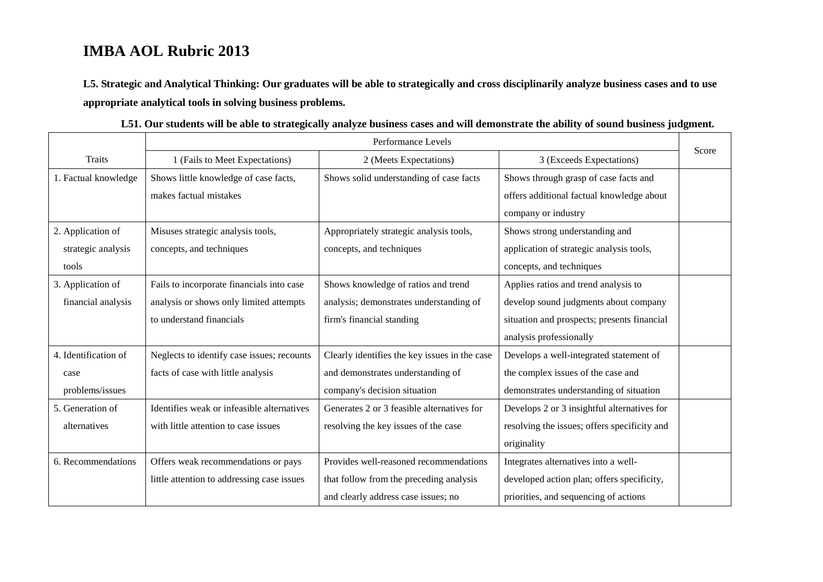**L5. Strategic and Analytical Thinking: Our graduates will be able to strategically and cross disciplinarily analyze business cases and to use appropriate analytical tools in solving business problems.** 

|                      | Performance Levels                         |                                               |                                              | Score |
|----------------------|--------------------------------------------|-----------------------------------------------|----------------------------------------------|-------|
| <b>Traits</b>        | 1 (Fails to Meet Expectations)             | 2 (Meets Expectations)                        | 3 (Exceeds Expectations)                     |       |
| 1. Factual knowledge | Shows little knowledge of case facts,      | Shows solid understanding of case facts       | Shows through grasp of case facts and        |       |
|                      | makes factual mistakes                     |                                               | offers additional factual knowledge about    |       |
|                      |                                            |                                               | company or industry                          |       |
| 2. Application of    | Misuses strategic analysis tools,          | Appropriately strategic analysis tools,       | Shows strong understanding and               |       |
| strategic analysis   | concepts, and techniques                   | concepts, and techniques                      | application of strategic analysis tools,     |       |
| tools                |                                            |                                               | concepts, and techniques                     |       |
| 3. Application of    | Fails to incorporate financials into case  | Shows knowledge of ratios and trend           | Applies ratios and trend analysis to         |       |
| financial analysis   | analysis or shows only limited attempts    | analysis; demonstrates understanding of       | develop sound judgments about company        |       |
|                      | to understand financials                   | firm's financial standing                     | situation and prospects; presents financial  |       |
|                      |                                            |                                               | analysis professionally                      |       |
| 4. Identification of | Neglects to identify case issues; recounts | Clearly identifies the key issues in the case | Develops a well-integrated statement of      |       |
| case                 | facts of case with little analysis         | and demonstrates understanding of             | the complex issues of the case and           |       |
| problems/issues      |                                            | company's decision situation                  | demonstrates understanding of situation      |       |
| 5. Generation of     | Identifies weak or infeasible alternatives | Generates 2 or 3 feasible alternatives for    | Develops 2 or 3 insightful alternatives for  |       |
| alternatives         | with little attention to case issues       | resolving the key issues of the case          | resolving the issues; offers specificity and |       |
|                      |                                            |                                               | originality                                  |       |
| 6. Recommendations   | Offers weak recommendations or pays        | Provides well-reasoned recommendations        | Integrates alternatives into a well-         |       |
|                      | little attention to addressing case issues | that follow from the preceding analysis       | developed action plan; offers specificity,   |       |
|                      |                                            | and clearly address case issues; no           | priorities, and sequencing of actions        |       |

**L51. Our students will be able to strategically analyze business cases and will demonstrate the ability of sound business judgment.**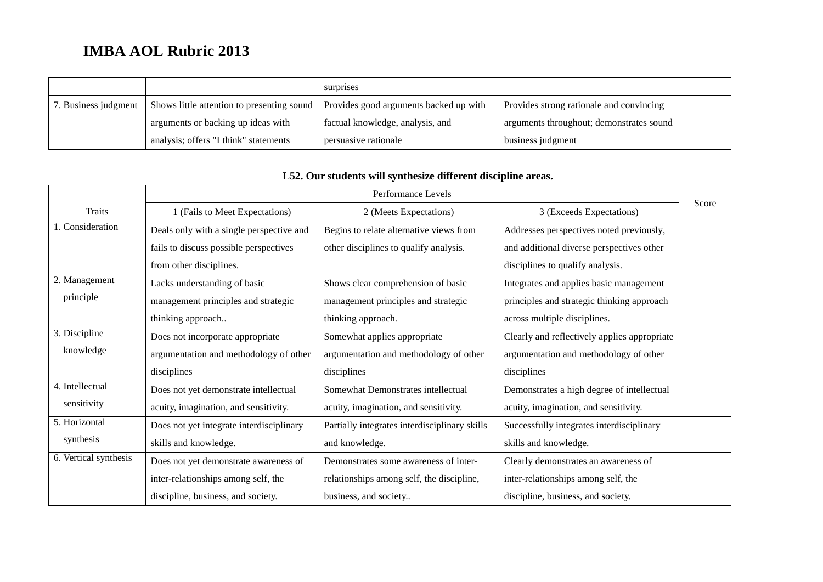|                      |                                            | surprises                              |                                          |  |
|----------------------|--------------------------------------------|----------------------------------------|------------------------------------------|--|
| 7. Business judgment | Shows little attention to presenting sound | Provides good arguments backed up with | Provides strong rationale and convincing |  |
|                      | arguments or backing up ideas with         | factual knowledge, analysis, and       | arguments throughout; demonstrates sound |  |
|                      | analysis; offers "I think" statements      | persuasive rationale                   | business judgment                        |  |

|                       | Performance Levels                       |                                               |                                              |       |
|-----------------------|------------------------------------------|-----------------------------------------------|----------------------------------------------|-------|
| <b>Traits</b>         | 1 (Fails to Meet Expectations)           | 2 (Meets Expectations)                        | 3 (Exceeds Expectations)                     | Score |
| 1. Consideration      | Deals only with a single perspective and | Begins to relate alternative views from       | Addresses perspectives noted previously,     |       |
|                       | fails to discuss possible perspectives   | other disciplines to qualify analysis.        | and additional diverse perspectives other    |       |
|                       | from other disciplines.                  |                                               | disciplines to qualify analysis.             |       |
| 2. Management         | Lacks understanding of basic             | Shows clear comprehension of basic            | Integrates and applies basic management      |       |
| principle             | management principles and strategic      | management principles and strategic           | principles and strategic thinking approach   |       |
|                       | thinking approach                        | thinking approach.                            | across multiple disciplines.                 |       |
| 3. Discipline         | Does not incorporate appropriate         | Somewhat applies appropriate                  | Clearly and reflectively applies appropriate |       |
| knowledge             | argumentation and methodology of other   | argumentation and methodology of other        | argumentation and methodology of other       |       |
|                       | disciplines                              | disciplines                                   | disciplines                                  |       |
| 4. Intellectual       | Does not yet demonstrate intellectual    | Somewhat Demonstrates intellectual            | Demonstrates a high degree of intellectual   |       |
| sensitivity           | acuity, imagination, and sensitivity.    | acuity, imagination, and sensitivity.         | acuity, imagination, and sensitivity.        |       |
| 5. Horizontal         | Does not yet integrate interdisciplinary | Partially integrates interdisciplinary skills | Successfully integrates interdisciplinary    |       |
| synthesis             | skills and knowledge.                    | and knowledge.                                | skills and knowledge.                        |       |
| 6. Vertical synthesis | Does not yet demonstrate awareness of    | Demonstrates some awareness of inter-         | Clearly demonstrates an awareness of         |       |
|                       | inter-relationships among self, the      | relationships among self, the discipline,     | inter-relationships among self, the          |       |
|                       | discipline, business, and society.       | business, and society                         | discipline, business, and society.           |       |

### **L52. Our students will synthesize different discipline areas.**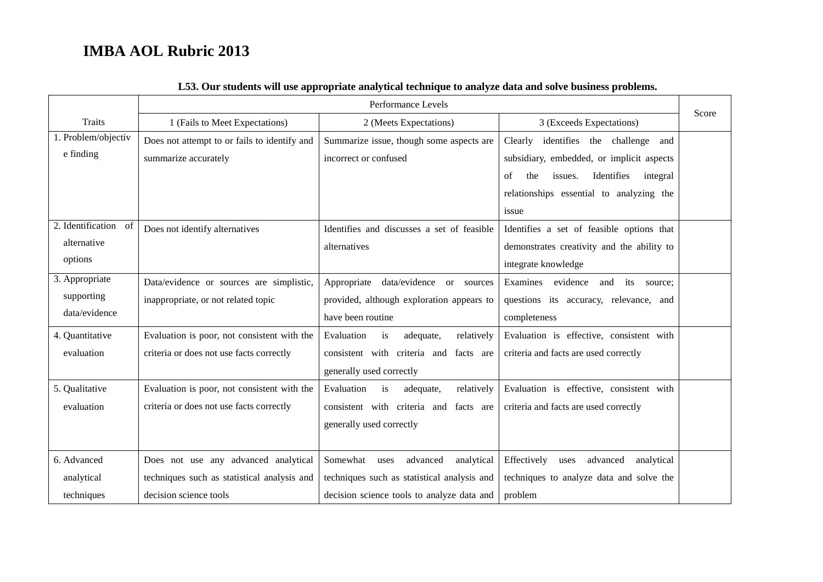|                      | Performance Levels                           |                                             |                                                |       |
|----------------------|----------------------------------------------|---------------------------------------------|------------------------------------------------|-------|
| <b>Traits</b>        | 1 (Fails to Meet Expectations)               | 2 (Meets Expectations)                      | 3 (Exceeds Expectations)                       | Score |
| 1. Problem/objectiv  | Does not attempt to or fails to identify and | Summarize issue, though some aspects are    | Clearly<br>identifies the challenge<br>and     |       |
| e finding            | summarize accurately                         | incorrect or confused                       | subsidiary, embedded, or implicit aspects      |       |
|                      |                                              |                                             | of<br>Identifies<br>integral<br>the<br>issues. |       |
|                      |                                              |                                             | relationships essential to analyzing the       |       |
|                      |                                              |                                             | issue                                          |       |
| 2. Identification of | Does not identify alternatives               | Identifies and discusses a set of feasible  | Identifies a set of feasible options that      |       |
| alternative          |                                              | alternatives                                | demonstrates creativity and the ability to     |       |
| options              |                                              |                                             | integrate knowledge                            |       |
| 3. Appropriate       | Data/evidence or sources are simplistic,     | Appropriate<br>data/evidence or sources     | Examines<br>evidence<br>and<br>its<br>source:  |       |
| supporting           | inappropriate, or not related topic          | provided, although exploration appears to   | questions its accuracy, relevance, and         |       |
| data/evidence        |                                              | have been routine                           | completeness                                   |       |
| 4. Quantitative      | Evaluation is poor, not consistent with the  | Evaluation<br>is<br>adequate,<br>relatively | Evaluation is effective, consistent with       |       |
| evaluation           | criteria or does not use facts correctly     | consistent with criteria and<br>facts are   | criteria and facts are used correctly          |       |
|                      |                                              | generally used correctly                    |                                                |       |
| 5. Qualitative       | Evaluation is poor, not consistent with the  | Evaluation<br>is<br>adequate,<br>relatively | Evaluation is effective, consistent with       |       |
| evaluation           | criteria or does not use facts correctly     | consistent with criteria and facts are      | criteria and facts are used correctly          |       |
|                      |                                              | generally used correctly                    |                                                |       |
|                      |                                              |                                             |                                                |       |
| 6. Advanced          | Does not use any advanced analytical         | Somewhat<br>advanced<br>analytical<br>uses  | Effectively<br>advanced<br>analytical<br>uses  |       |
| analytical           | techniques such as statistical analysis and  | techniques such as statistical analysis and | techniques to analyze data and solve the       |       |
| techniques           | decision science tools                       | decision science tools to analyze data and  | problem                                        |       |

### **L53. Our students will use appropriate analytical technique to analyze data and solve business problems.**